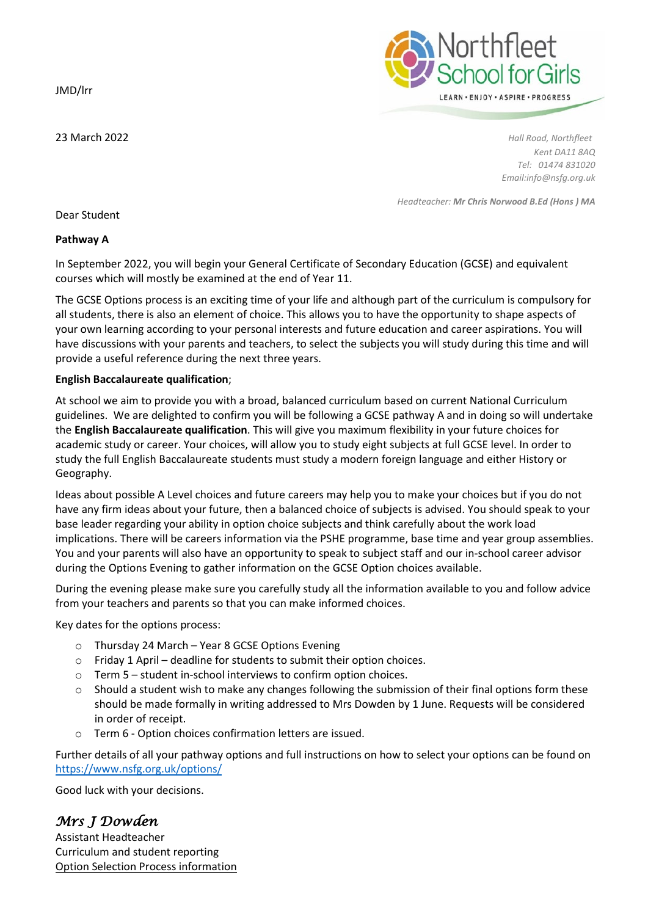JMD/lrr



23 March 2022 *Hall Road, Northfleet Kent DA11 8AQ Tel: 01474 831020 Email:info@nsfg.org.uk*

*Headteacher: Mr Chris Norwood B.Ed (Hons ) MA*

Dear Student

## **Pathway A**

In September 2022, you will begin your General Certificate of Secondary Education (GCSE) and equivalent courses which will mostly be examined at the end of Year 11.

The GCSE Options process is an exciting time of your life and although part of the curriculum is compulsory for all students, there is also an element of choice. This allows you to have the opportunity to shape aspects of your own learning according to your personal interests and future education and career aspirations. You will have discussions with your parents and teachers, to select the subjects you will study during this time and will provide a useful reference during the next three years.

## **English Baccalaureate qualification**;

At school we aim to provide you with a broad, balanced curriculum based on current National Curriculum guidelines. We are delighted to confirm you will be following a GCSE pathway A and in doing so will undertake the **English Baccalaureate qualification**. This will give you maximum flexibility in your future choices for academic study or career. Your choices, will allow you to study eight subjects at full GCSE level. In order to study the full English Baccalaureate students must study a modern foreign language and either History or Geography.

Ideas about possible A Level choices and future careers may help you to make your choices but if you do not have any firm ideas about your future, then a balanced choice of subjects is advised. You should speak to your base leader regarding your ability in option choice subjects and think carefully about the work load implications. There will be careers information via the PSHE programme, base time and year group assemblies. You and your parents will also have an opportunity to speak to subject staff and our in-school career advisor during the Options Evening to gather information on the GCSE Option choices available.

During the evening please make sure you carefully study all the information available to you and follow advice from your teachers and parents so that you can make informed choices.

Key dates for the options process:

- o Thursday 24 March Year 8 GCSE Options Evening
- o Friday 1 April deadline for students to submit their option choices.
- o Term 5 student in-school interviews to confirm option choices.
- $\circ$  Should a student wish to make any changes following the submission of their final options form these should be made formally in writing addressed to Mrs Dowden by 1 June. Requests will be considered in order of receipt.
- o Term 6 Option choices confirmation letters are issued.

Further details of all your pathway options and full instructions on how to select your options can be found on <https://www.nsfg.org.uk/options/>

Good luck with your decisions.

## *Mrs J Dowden*

Assistant Headteacher Curriculum and student reporting Option Selection Process information